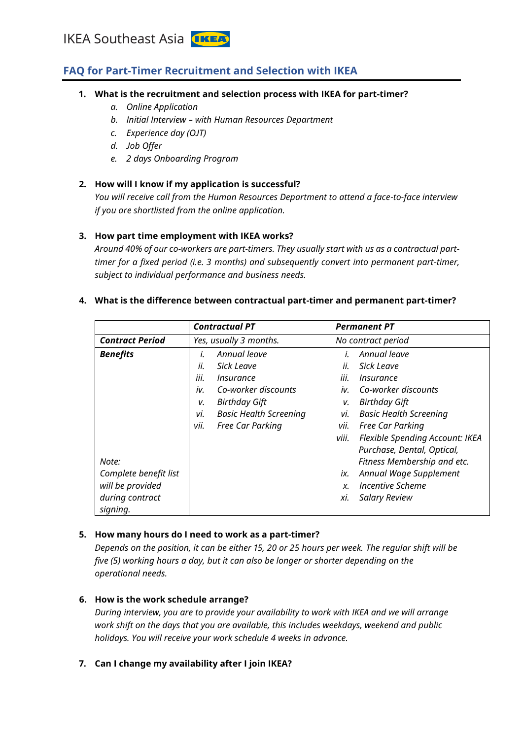### **FAQ for Part-Timer Recruitment and Selection with IKEA**

#### **1. What is the recruitment and selection process with IKEA for part-timer?**

- *a. Online Application*
- *b. Initial Interview – with Human Resources Department*
- *c. Experience day (OJT)*
- *d. Job Offer*
- *e. 2 days Onboarding Program*

#### **2. How will I know if my application is successful?**

*You will receive call from the Human Resources Department to attend a face-to-face interview if you are shortlisted from the online application.* 

#### **3. How part time employment with IKEA works?**

*Around 40% of our co-workers are part-timers. They usually start with us as a contractual parttimer for a fixed period (i.e. 3 months) and subsequently convert into permanent part-timer, subject to individual performance and business needs.* 

# **4. What is the difference between contractual part-timer and permanent part-timer?**

|                        | <b>Contractual PT</b>                |       | <b>Permanent PT</b>                    |  |
|------------------------|--------------------------------------|-------|----------------------------------------|--|
| <b>Contract Period</b> | Yes, usually 3 months.               |       | No contract period                     |  |
| <b>Benefits</b>        | Annual leave<br>İ.                   |       | Annual leave                           |  |
|                        | ii.<br>Sick Leave                    | ii.   | Sick Leave                             |  |
|                        | iii.<br>Insurance                    | iii.  | Insurance                              |  |
|                        | iv.<br>Co-worker discounts           | iv.   | Co-worker discounts                    |  |
|                        | <b>Birthday Gift</b><br>v.           | v.    | <b>Birthday Gift</b>                   |  |
|                        | <b>Basic Health Screening</b><br>vi. | vi.   | <b>Basic Health Screening</b>          |  |
|                        | vii.<br>Free Car Parking             | vii.  | Free Car Parking                       |  |
|                        |                                      | viii. | <b>Flexible Spending Account: IKEA</b> |  |
|                        |                                      |       | Purchase, Dental, Optical,             |  |
| Note:                  |                                      |       | Fitness Membership and etc.            |  |
| Complete benefit list  |                                      | ix.   | Annual Wage Supplement                 |  |
| will be provided       |                                      | Х.    | Incentive Scheme                       |  |
| during contract        |                                      | хi.   | <b>Salary Review</b>                   |  |
| signing.               |                                      |       |                                        |  |

#### **5. How many hours do I need to work as a part-timer?**

*Depends on the position, it can be either 15, 20 or 25 hours per week. The regular shift will be five (5) working hours a day, but it can also be longer or shorter depending on the operational needs.* 

#### **6. How is the work schedule arrange?**

*During interview, you are to provide your availability to work with IKEA and we will arrange work shift on the days that you are available, this includes weekdays, weekend and public holidays. You will receive your work schedule 4 weeks in advance.* 

**7. Can I change my availability after I join IKEA?**